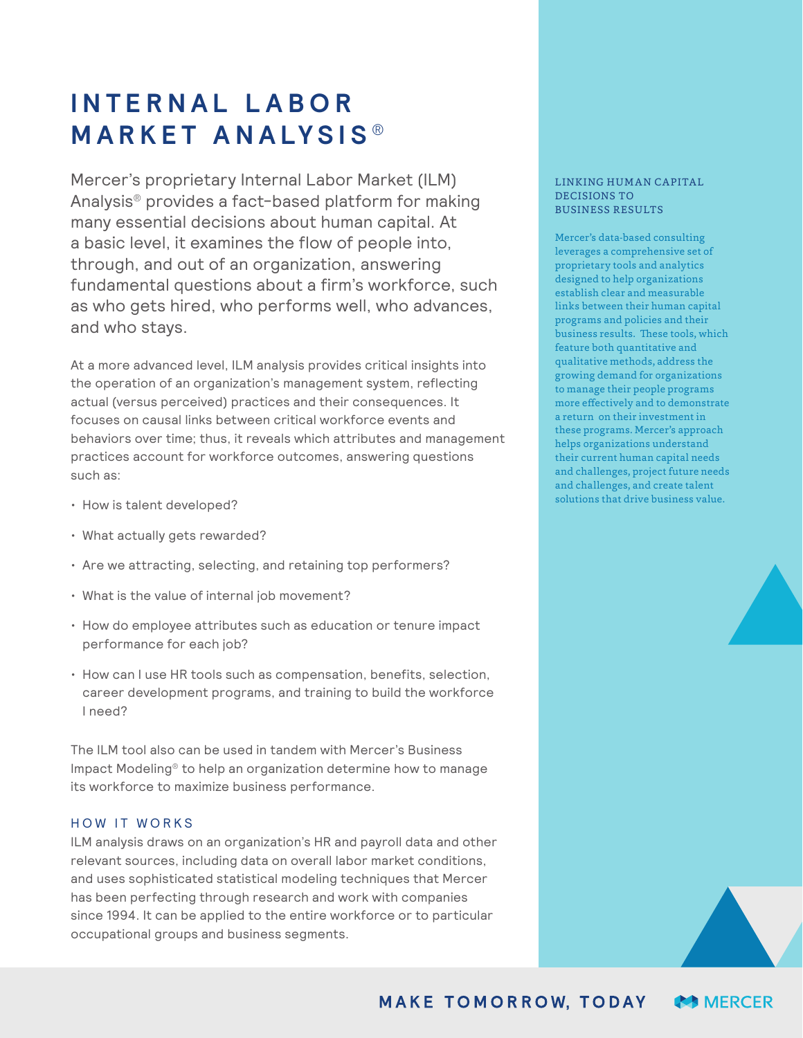## **I N T E R N A L L A B O R MARKET ANALYSIS ®**

Mercer's proprietary Internal Labor Market (ILM) Analysis® provides a fact-based platform for making many essential decisions about human capital. At a basic level, it examines the flow of people into, through, and out of an organization, answering fundamental questions about a firm's workforce, such as who gets hired, who performs well, who advances, and who stays.

At a more advanced level, ILM analysis provides critical insights into the operation of an organization's management system, reflecting actual (versus perceived) practices and their consequences. It focuses on causal links between critical workforce events and behaviors over time; thus, it reveals which attributes and management practices account for workforce outcomes, answering questions such as:

- How is talent developed?
- What actually gets rewarded?
- Are we attracting, selecting, and retaining top performers?
- What is the value of internal job movement?
- How do employee attributes such as education or tenure impact performance for each job?
- How can I use HR tools such as compensation, benefits, selection, career development programs, and training to build the workforce I need?

The ILM tool also can be used in tandem with Mercer's Business Impact Modeling® to help an organization determine how to manage its workforce to maximize business performance.

## HOW IT WORKS

ILM analysis draws on an organization's HR and payroll data and other relevant sources, including data on overall labor market conditions, and uses sophisticated statistical modeling techniques that Mercer has been perfecting through research and work with companies since 1994. It can be applied to the entire workforce or to particular occupational groups and business segments.

## LINKING HUMAN CAPITAL DECISIONS TO BUSINESS RESULTS

Mercer's data-based consulting leverages a comprehensive set of proprietary tools and analytics designed to help organizations establish clear and measurable links between their human capital programs and policies and their business results. These tools, which feature both quantitative and qualitative methods, address the growing demand for organizations to manage their people programs more effectively and to demonstrate a return on their investment in these programs. Mercer's approach helps organizations understand their current human capital needs and challenges, project future needs and challenges, and create talent solutions that drive business value.

**MAKE TOMORROW, TODAY MERCER**